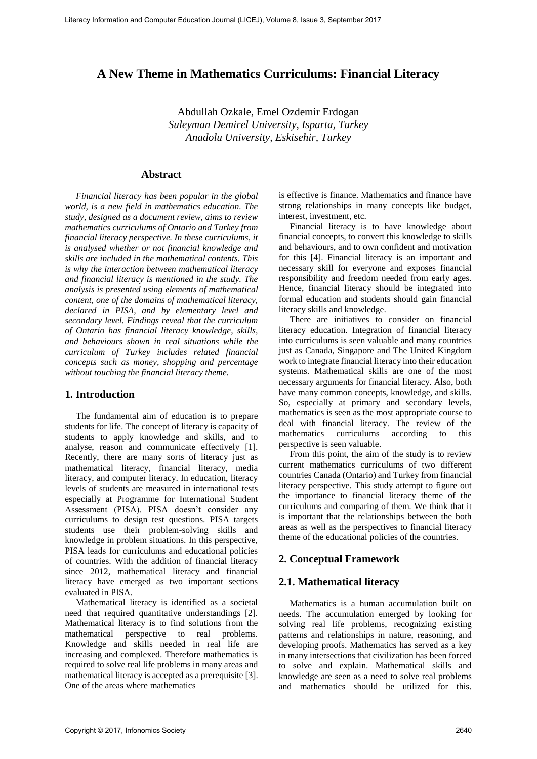# **A New Theme in Mathematics Curriculums: Financial Literacy**

Abdullah Ozkale, Emel Ozdemir Erdogan *Suleyman Demirel University, Isparta, Turkey Anadolu University, Eskisehir, Turkey*

# **Abstract**

*Financial literacy has been popular in the global world, is a new field in mathematics education. The study, designed as a document review, aims to review mathematics curriculums of Ontario and Turkey from financial literacy perspective. In these curriculums, it is analysed whether or not financial knowledge and skills are included in the mathematical contents. This is why the interaction between mathematical literacy and financial literacy is mentioned in the study. The analysis is presented using elements of mathematical content, one of the domains of mathematical literacy, declared in PISA, and by elementary level and secondary level. Findings reveal that the curriculum of Ontario has financial literacy knowledge, skills, and behaviours shown in real situations while the curriculum of Turkey includes related financial concepts such as money, shopping and percentage without touching the financial literacy theme.*

## **1. Introduction**

The fundamental aim of education is to prepare students for life. The concept of literacy is capacity of students to apply knowledge and skills, and to analyse, reason and communicate effectively [1]. Recently, there are many sorts of literacy just as mathematical literacy, financial literacy, media literacy, and computer literacy. In education, literacy levels of students are measured in international tests especially at Programme for International Student Assessment (PISA). PISA doesn't consider any curriculums to design test questions. PISA targets students use their problem-solving skills and knowledge in problem situations. In this perspective, PISA leads for curriculums and educational policies of countries. With the addition of financial literacy since 2012, mathematical literacy and financial literacy have emerged as two important sections evaluated in PISA. Literacy formation and Computer Computer Computer Computer Education Scheme 2017 Computer Education Journal (Literacy Absolution Development Computer Education Computer Computer Computer Computer Computer Computer Compute

Mathematical literacy is identified as a societal need that required quantitative understandings [2]. Mathematical literacy is to find solutions from the mathematical perspective to real problems. Knowledge and skills needed in real life are increasing and complexed. Therefore mathematics is required to solve real life problems in many areas and mathematical literacy is accepted as a prerequisite [3]. One of the areas where mathematics

is effective is finance. Mathematics and finance have strong relationships in many concepts like budget, interest, investment, etc.

Financial literacy is to have knowledge about financial concepts, to convert this knowledge to skills and behaviours, and to own confident and motivation for this [4]. Financial literacy is an important and necessary skill for everyone and exposes financial responsibility and freedom needed from early ages. Hence, financial literacy should be integrated into formal education and students should gain financial literacy skills and knowledge.

There are initiatives to consider on financial literacy education. Integration of financial literacy into curriculums is seen valuable and many countries just as Canada, Singapore and The United Kingdom work to integrate financial literacy into their education systems. Mathematical skills are one of the most necessary arguments for financial literacy. Also, both have many common concepts, knowledge, and skills. So, especially at primary and secondary levels, mathematics is seen as the most appropriate course to deal with financial literacy. The review of the mathematics curriculums according to this perspective is seen valuable.

From this point, the aim of the study is to review current mathematics curriculums of two different countries Canada (Ontario) and Turkey from financial literacy perspective. This study attempt to figure out the importance to financial literacy theme of the curriculums and comparing of them. We think that it is important that the relationships between the both areas as well as the perspectives to financial literacy theme of the educational policies of the countries.

# **2. Conceptual Framework**

## **2.1. Mathematical literacy**

Mathematics is a human accumulation built on needs. The accumulation emerged by looking for solving real life problems, recognizing existing patterns and relationships in nature, reasoning, and developing proofs. Mathematics has served as a key in many intersections that civilization has been forced to solve and explain. Mathematical skills and knowledge are seen as a need to solve real problems and mathematics should be utilized for this.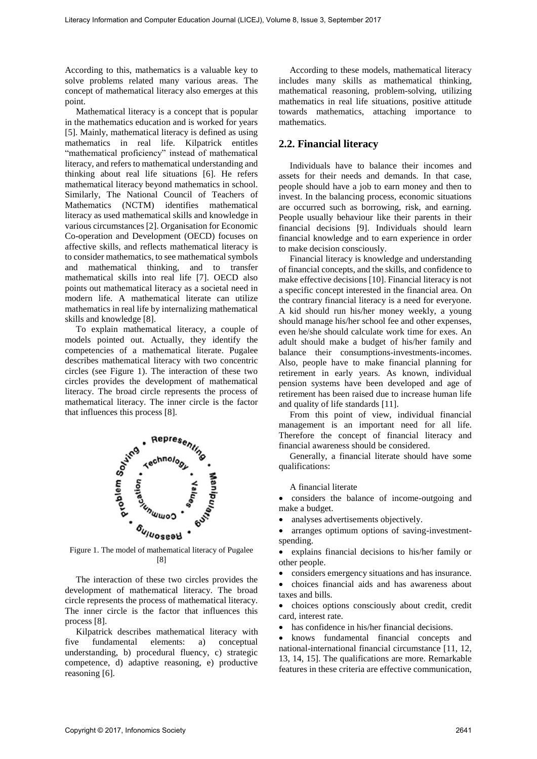According to this, mathematics is a valuable key to solve problems related many various areas. The concept of mathematical literacy also emerges at this point.

Mathematical literacy is a concept that is popular in the mathematics education and is worked for years [5]. Mainly, mathematical literacy is defined as using mathematics in real life. Kilpatrick entitles "mathematical proficiency" instead of mathematical literacy, and refers to mathematical understanding and thinking about real life situations [6]. He refers mathematical literacy beyond mathematics in school. Similarly, The National Council of Teachers of Mathematics (NCTM) identifies mathematical literacy as used mathematical skills and knowledge in various circumstances [2]. Organisation for Economic Co-operation and Development (OECD) focuses on affective skills, and reflects mathematical literacy is to consider mathematics, to see mathematical symbols and mathematical thinking, and to transfer mathematical skills into real life [7]. OECD also points out mathematical literacy as a societal need in modern life. A mathematical literate can utilize mathematics in real life by internalizing mathematical skills and knowledge [8]. Literacy phenometers of the state of the state of the state of the state of the state of the state of the state of the state of the state of the state of the state of the state of the state of the state of the state of th

To explain mathematical literacy, a couple of models pointed out. Actually, they identify the competencies of a mathematical literate. Pugalee describes mathematical literacy with two concentric circles (see Figure 1). The interaction of these two circles provides the development of mathematical literacy. The broad circle represents the process of mathematical literacy. The inner circle is the factor that influences this process [8].



Figure 1. The model of mathematical literacy of Pugalee [8]

The interaction of these two circles provides the development of mathematical literacy. The broad circle represents the process of mathematical literacy. The inner circle is the factor that influences this process [8].

Kilpatrick describes mathematical literacy with five fundamental elements: a) conceptual understanding, b) procedural fluency, c) strategic competence, d) adaptive reasoning, e) productive reasoning [6].

According to these models, mathematical literacy includes many skills as mathematical thinking, mathematical reasoning, problem-solving, utilizing mathematics in real life situations, positive attitude towards mathematics, attaching importance to mathematics.

## **2.2. Financial literacy**

Individuals have to balance their incomes and assets for their needs and demands. In that case, people should have a job to earn money and then to invest. In the balancing process, economic situations are occurred such as borrowing, risk, and earning. People usually behaviour like their parents in their financial decisions [9]. Individuals should learn financial knowledge and to earn experience in order to make decision consciously.

Financial literacy is knowledge and understanding of financial concepts, and the skills, and confidence to make effective decisions [10]. Financial literacy is not a specific concept interested in the financial area. On the contrary financial literacy is a need for everyone. A kid should run his/her money weekly, a young should manage his/her school fee and other expenses, even he/she should calculate work time for exes. An adult should make a budget of his/her family and balance their consumptions-investments-incomes. Also, people have to make financial planning for retirement in early years. As known, individual pension systems have been developed and age of retirement has been raised due to increase human life and quality of life standards [11].

From this point of view, individual financial management is an important need for all life. Therefore the concept of financial literacy and financial awareness should be considered.

Generally, a financial literate should have some qualifications:

A financial literate

• considers the balance of income-outgoing and make a budget.

- analyses advertisements objectively.
- arranges optimum options of saving-investmentspending.

• explains financial decisions to his/her family or other people.

• considers emergency situations and has insurance.

• choices financial aids and has awareness about taxes and bills.

• choices options consciously about credit, credit card, interest rate.

• has confidence in his/her financial decisions.

• knows fundamental financial concepts and national-international financial circumstance [11, 12, 13, 14, 15]. The qualifications are more. Remarkable features in these criteria are effective communication,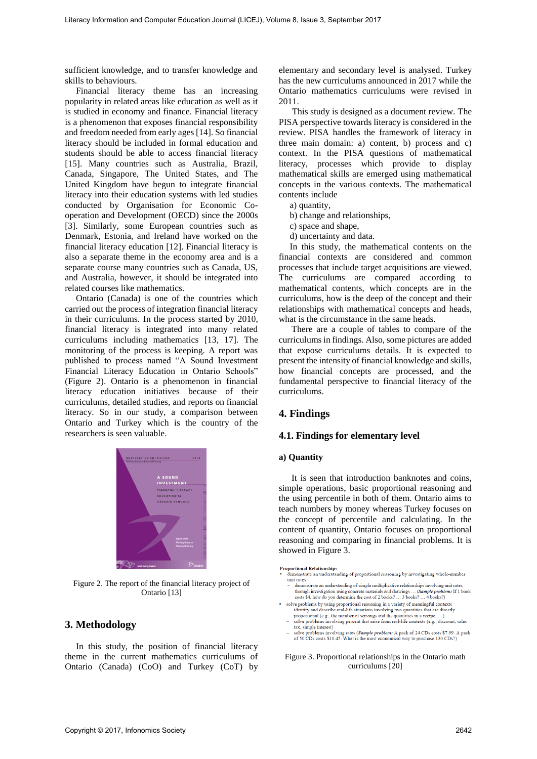sufficient knowledge, and to transfer knowledge and skills to behaviours.

Financial literacy theme has an increasing popularity in related areas like education as well as it is studied in economy and finance. Financial literacy is a phenomenon that exposes financial responsibility and freedom needed from early ages [14]. So financial literacy should be included in formal education and students should be able to access financial literacy [15]. Many countries such as Australia, Brazil, Canada, Singapore, The United States, and The United Kingdom have begun to integrate financial literacy into their education systems with led studies conducted by Organisation for Economic Cooperation and Development (OECD) since the 2000s [3]. Similarly, some European countries such as Denmark, Estonia, and Ireland have worked on the financial literacy education [12]. Financial literacy is also a separate theme in the economy area and is a separate course many countries such as Canada, US, and Australia, however, it should be integrated into related courses like mathematics. Literacy Primation and Computer Computer Some 10.011, Volume 8, Isotephe 2017 Computer Education Journal (LICE), Volume 8, Isotephe 2017 Computer Education Journal (LICE), Volume 8, Isotephe 2017 Control (LICE), Volume 8,

Ontario (Canada) is one of the countries which carried out the process of integration financial literacy in their curriculums. In the process started by 2010, financial literacy is integrated into many related curriculums including mathematics [13, 17]. The monitoring of the process is keeping. A report was published to process named "A Sound Investment Financial Literacy Education in Ontario Schools" (Figure 2). Ontario is a phenomenon in financial literacy education initiatives because of their curriculums, detailed studies, and reports on financial literacy. So in our study, a comparison between Ontario and Turkey which is the country of the researchers is seen valuable.



Figure 2. The report of the financial literacy project of Ontario [13]

## **3. Methodology**

In this study, the position of financial literacy theme in the current mathematics curriculums of Ontario (Canada) (CoO) and Turkey (CoT) by elementary and secondary level is analysed. Turkey has the new curriculums announced in 2017 while the Ontario mathematics curriculums were revised in 2011.

This study is designed as a document review. The PISA perspective towards literacy is considered in the review. PISA handles the framework of literacy in three main domain: a) content, b) process and c) context. In the PISA questions of mathematical literacy, processes which provide to display mathematical skills are emerged using mathematical concepts in the various contexts. The mathematical contents include

- a) quantity,
- b) change and relationships,
- c) space and shape,
- d) uncertainty and data.

In this study, the mathematical contents on the financial contexts are considered and common processes that include target acquisitions are viewed. The curriculums are compared according to mathematical contents, which concepts are in the curriculums, how is the deep of the concept and their relationships with mathematical concepts and heads, what is the circumstance in the same heads.

There are a couple of tables to compare of the curriculums in findings. Also, some pictures are added that expose curriculums details. It is expected to present the intensity of financial knowledge and skills, how financial concepts are processed, and the fundamental perspective to financial literacy of the curriculums.

# **4. Findings**

#### **4.1. Findings for elementary level**

#### **a) Quantity**

It is seen that introduction banknotes and coins, simple operations, basic proportional reasoning and the using percentile in both of them. Ontario aims to teach numbers by money whereas Turkey focuses on the concept of percentile and calculating. In the content of quantity, Ontario focuses on proportional reasoning and comparing in financial problems. It is showed in Figure 3.

- 
- 
- 
- 

Figure 3. Proportional relationships in the Ontario math curriculums [20]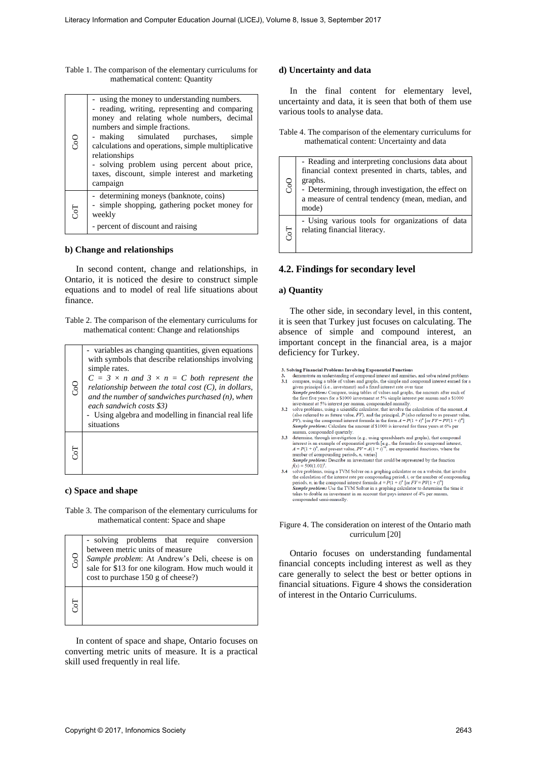| Table 1. The comparison of the elementary curriculums for |
|-----------------------------------------------------------|
| mathematical content: Quantity                            |

|            | Table 1. The comparison of the elementary curriculums for<br>mathematical content: Quantity                                                                                                                                                                                                                                                                                                                |                                                                                                                                                                                                                                                                                                                                                                                                                                                                                                                                                                                                                                                                                                                                                                                                                                                                                                                                                                                                                                                                                                                                     | d) Uncertainty and data                                                                                                                                                                                                                                                                                                                                                                                                                                                                                                                                                                                                                                    |
|------------|------------------------------------------------------------------------------------------------------------------------------------------------------------------------------------------------------------------------------------------------------------------------------------------------------------------------------------------------------------------------------------------------------------|-------------------------------------------------------------------------------------------------------------------------------------------------------------------------------------------------------------------------------------------------------------------------------------------------------------------------------------------------------------------------------------------------------------------------------------------------------------------------------------------------------------------------------------------------------------------------------------------------------------------------------------------------------------------------------------------------------------------------------------------------------------------------------------------------------------------------------------------------------------------------------------------------------------------------------------------------------------------------------------------------------------------------------------------------------------------------------------------------------------------------------------|------------------------------------------------------------------------------------------------------------------------------------------------------------------------------------------------------------------------------------------------------------------------------------------------------------------------------------------------------------------------------------------------------------------------------------------------------------------------------------------------------------------------------------------------------------------------------------------------------------------------------------------------------------|
| CoO        | - using the money to understanding numbers.<br>- reading, writing, representing and comparing<br>money and relating whole numbers, decimal<br>numbers and simple fractions.<br>simulated<br>- making<br>purchases,<br>simple<br>calculations and operations, simple multiplicative                                                                                                                         |                                                                                                                                                                                                                                                                                                                                                                                                                                                                                                                                                                                                                                                                                                                                                                                                                                                                                                                                                                                                                                                                                                                                     | In the final content for elementary level,<br>uncertainty and data, it is seen that both of them use<br>various tools to analyse data.<br>Table 4. The comparison of the elementary curriculums for<br>mathematical content: Uncertainty and data                                                                                                                                                                                                                                                                                                                                                                                                          |
| <b>ToD</b> | relationships<br>- solving problem using percent about price,<br>taxes, discount, simple interest and marketing<br>campaign<br>- determining moneys (banknote, coins)<br>- simple shopping, gathering pocket money for<br>weekly                                                                                                                                                                           | CoO                                                                                                                                                                                                                                                                                                                                                                                                                                                                                                                                                                                                                                                                                                                                                                                                                                                                                                                                                                                                                                                                                                                                 | - Reading and interpreting conclusions data about<br>financial context presented in charts, tables, and<br>graphs.<br>- Determining, through investigation, the effect on<br>a measure of central tendency (mean, median, and<br>mode)<br>- Using various tools for organizations of data                                                                                                                                                                                                                                                                                                                                                                  |
|            | - percent of discount and raising                                                                                                                                                                                                                                                                                                                                                                          | <b>CoT</b>                                                                                                                                                                                                                                                                                                                                                                                                                                                                                                                                                                                                                                                                                                                                                                                                                                                                                                                                                                                                                                                                                                                          | relating financial literacy.                                                                                                                                                                                                                                                                                                                                                                                                                                                                                                                                                                                                                               |
| finance.   | In second content, change and relationships, in<br>Ontario, it is noticed the desire to construct simple<br>equations and to model of real life situations about                                                                                                                                                                                                                                           | a) Quantity                                                                                                                                                                                                                                                                                                                                                                                                                                                                                                                                                                                                                                                                                                                                                                                                                                                                                                                                                                                                                                                                                                                         | 4.2. Findings for secondary level<br>The other side, in secondary level, in this content,                                                                                                                                                                                                                                                                                                                                                                                                                                                                                                                                                                  |
|            | Table 2. The comparison of the elementary curriculums for<br>mathematical content: Change and relationships                                                                                                                                                                                                                                                                                                |                                                                                                                                                                                                                                                                                                                                                                                                                                                                                                                                                                                                                                                                                                                                                                                                                                                                                                                                                                                                                                                                                                                                     | it is seen that Turkey just focuses on calculating. The<br>absence of simple and compound interest, an                                                                                                                                                                                                                                                                                                                                                                                                                                                                                                                                                     |
| So         | - variables as changing quantities, given equations<br>with symbols that describe relationships involving<br>simple rates.<br>$C = 3 \times n$ and $3 \times n = C$ both represent the<br>relationship between the total cost $(C)$ , in dollars,<br>and the number of sandwiches purchased $(n)$ , when<br>each sandwich costs \$3)<br>- Using algebra and modelling in financial real life<br>situations | important concept in the financial area, is a major<br>deficiency for Turkey.<br>3. Solving Financial Problems Involving Exponential Functions<br>demonstrate an understanding of compound interest and annuities, and solve related problems<br>3.1 compare, using a table of values and graphs, the simple and compound interest earned for a<br>given principal (i.e., investment) and a fixed interest rate over time<br>Sample problem: Compare, using tables of values and graphs, the amounts after each of<br>the first five years for a \$1000 investment at 5% simple interest per annum and a \$1000<br>investment at 5% interest per annum, compounded annually.<br>3.2 solve problems, using a scientific calculator, that involve the calculation of the amount, $\vec{A}$<br>(also referred to as future value, $FV$ ), and the principal, $P$ (also referred to as present value,<br><i>PV</i> ), using the compound interest formula in the form $A = P(1 + i)^n$ [or $FV = PV(1 + i)^n$ ]<br>Sample problem: Calculate the amount if \$1000 is invested for three years at 6% per<br>annum, compounded quarterly. |                                                                                                                                                                                                                                                                                                                                                                                                                                                                                                                                                                                                                                                            |
| <b>50D</b> |                                                                                                                                                                                                                                                                                                                                                                                                            |                                                                                                                                                                                                                                                                                                                                                                                                                                                                                                                                                                                                                                                                                                                                                                                                                                                                                                                                                                                                                                                                                                                                     | 3.3 determine, through investigation (e.g., using spreadsheets and graphs), that compound<br>interest is an example of exponential growth [e.g., the formulas for compound interest,<br>$A = P(1 + i)^n$ , and present value, $PV = A(1 + i)^{-n}$ , are exponential functions, where the<br>number of compounding periods, n, varies]<br>Sample problem: Describe an investment that could be represented by the function<br>$f(x) = 500(1.01)^{x}$ .<br>3.4 solve problems, using a TVM Solver on a graphing calculator or on a website, that involve<br>the calculation of the interest rate per compounding period, $i$ , or the number of compounding |
|            | c) Space and shape                                                                                                                                                                                                                                                                                                                                                                                         |                                                                                                                                                                                                                                                                                                                                                                                                                                                                                                                                                                                                                                                                                                                                                                                                                                                                                                                                                                                                                                                                                                                                     | periods, <i>n</i> , in the compound interest formula $A = P(1 + i)^n$ [or $FV = PV(1 + i)^n$ ]<br>Sample problem: Use the TVM Solver in a graphing calculator to determine the time it<br>takes to double an investment in an account that pays interest of 4% per annum,<br>compounded semi-annually.                                                                                                                                                                                                                                                                                                                                                     |
|            | Table 3. The comparison of the elementary curriculums for<br>mathematical content: Space and shape                                                                                                                                                                                                                                                                                                         |                                                                                                                                                                                                                                                                                                                                                                                                                                                                                                                                                                                                                                                                                                                                                                                                                                                                                                                                                                                                                                                                                                                                     | Figure 4. The consideration on interest of the Ontario math                                                                                                                                                                                                                                                                                                                                                                                                                                                                                                                                                                                                |
| CoO        | - solving problems that require conversion<br>between metric units of measure<br>Sample problem: At Andrew's Deli, cheese is on<br>sale for \$13 for one kilogram. How much would it<br>cost to purchase 150 g of cheese?)                                                                                                                                                                                 |                                                                                                                                                                                                                                                                                                                                                                                                                                                                                                                                                                                                                                                                                                                                                                                                                                                                                                                                                                                                                                                                                                                                     | curriculum [20]<br>Ontario focuses on understanding fundamental<br>financial concepts including interest as well as they<br>care generally to select the best or better options in<br>financial situations. Figure 4 shows the consideration                                                                                                                                                                                                                                                                                                                                                                                                               |
| <b>ToD</b> |                                                                                                                                                                                                                                                                                                                                                                                                            |                                                                                                                                                                                                                                                                                                                                                                                                                                                                                                                                                                                                                                                                                                                                                                                                                                                                                                                                                                                                                                                                                                                                     | of interest in the Ontario Curriculums.                                                                                                                                                                                                                                                                                                                                                                                                                                                                                                                                                                                                                    |
|            | In content of space and shape, Ontario focuses on<br>converting metric units of measure. It is a practical<br>skill used frequently in real life.                                                                                                                                                                                                                                                          |                                                                                                                                                                                                                                                                                                                                                                                                                                                                                                                                                                                                                                                                                                                                                                                                                                                                                                                                                                                                                                                                                                                                     |                                                                                                                                                                                                                                                                                                                                                                                                                                                                                                                                                                                                                                                            |
|            |                                                                                                                                                                                                                                                                                                                                                                                                            |                                                                                                                                                                                                                                                                                                                                                                                                                                                                                                                                                                                                                                                                                                                                                                                                                                                                                                                                                                                                                                                                                                                                     |                                                                                                                                                                                                                                                                                                                                                                                                                                                                                                                                                                                                                                                            |
|            | Copyright © 2017, Infonomics Society                                                                                                                                                                                                                                                                                                                                                                       |                                                                                                                                                                                                                                                                                                                                                                                                                                                                                                                                                                                                                                                                                                                                                                                                                                                                                                                                                                                                                                                                                                                                     | 2643                                                                                                                                                                                                                                                                                                                                                                                                                                                                                                                                                                                                                                                       |

#### **b) Change and relationships**

| Oor | - variables as changing quantities, given equations<br>with symbols that describe relationships involving<br>simple rates.<br>$C = 3 \times n$ and $3 \times n = C$ both represent the<br>relationship between the total cost $(C)$ , in dollars,<br>and the number of sandwiches purchased $(n)$ , when<br>each sandwich costs \$3)<br>- Using algebra and modelling in financial real life<br>situations |
|-----|------------------------------------------------------------------------------------------------------------------------------------------------------------------------------------------------------------------------------------------------------------------------------------------------------------------------------------------------------------------------------------------------------------|
|     |                                                                                                                                                                                                                                                                                                                                                                                                            |

#### **c) Space and shape**

| CoO | - solving problems that require conversion<br>between metric units of measure<br>Sample problem: At Andrew's Deli, cheese is on<br>sale for \$13 for one kilogram. How much would it<br>$cost$ to purchase 150 g of cheese?) |
|-----|------------------------------------------------------------------------------------------------------------------------------------------------------------------------------------------------------------------------------|
| ToT |                                                                                                                                                                                                                              |

### **d) Uncertainty and data**

| C <sub>o</sub> O | - Reading and interpreting conclusions data about<br>financial context presented in charts, tables, and<br>graphs.<br>- Determining, through investigation, the effect on<br>a measure of central tendency (mean, median, and<br>mode) |
|------------------|----------------------------------------------------------------------------------------------------------------------------------------------------------------------------------------------------------------------------------------|
| <b>Po</b>        | - Using various tools for organizations of data<br>relating financial literacy.                                                                                                                                                        |

## **4.2. Findings for secondary level**

#### **a) Quantity**

- 
- 
- 
- 
- 

#### Figure 4. The consideration on interest of the Ontario math curriculum [20]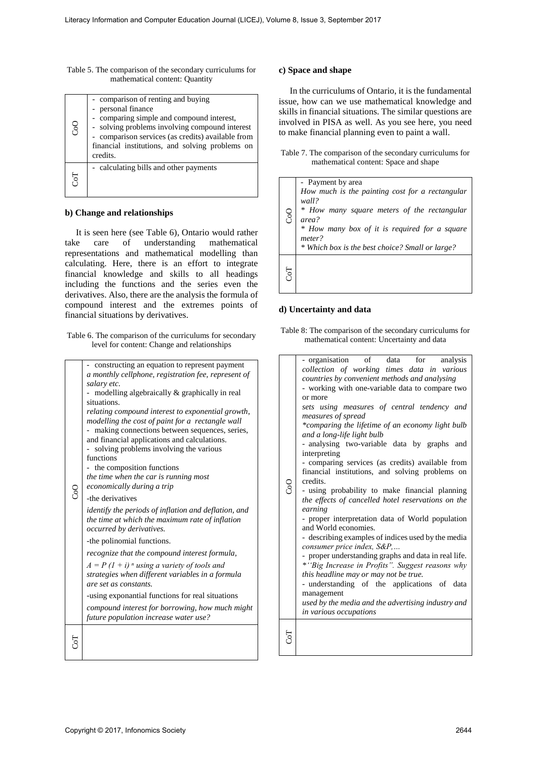| Table 5. The comparison of the secondary curriculums for |
|----------------------------------------------------------|
| mathematical content: Quantity                           |

| C <sub>o</sub> O | comparison of renting and buying<br>personal finance<br>comparing simple and compound interest,<br>- solving problems involving compound interest<br>comparison services (as credits) available from<br>financial institutions, and solving problems on<br>credits. |
|------------------|---------------------------------------------------------------------------------------------------------------------------------------------------------------------------------------------------------------------------------------------------------------------|
| Гoч              | - calculating bills and other payments                                                                                                                                                                                                                              |

#### **b) Change and relationships**

|      | Table 5. The comparison of the secondary curriculums for<br>mathematical content: Quantity                                                                                                                                                                                                                                                                                                                                                                                                                                                                                                                                                                                                                                                                                                                                                                                                                                                                                                                                                                                                            |                  | c) Space and shape                                                                                                                                                                                                                                                                                                                                                                                                                                                                                                                                                                                                                                                                                                                                                                                                                                                                                                                                                                                                                                                                                                                         |
|------|-------------------------------------------------------------------------------------------------------------------------------------------------------------------------------------------------------------------------------------------------------------------------------------------------------------------------------------------------------------------------------------------------------------------------------------------------------------------------------------------------------------------------------------------------------------------------------------------------------------------------------------------------------------------------------------------------------------------------------------------------------------------------------------------------------------------------------------------------------------------------------------------------------------------------------------------------------------------------------------------------------------------------------------------------------------------------------------------------------|------------------|--------------------------------------------------------------------------------------------------------------------------------------------------------------------------------------------------------------------------------------------------------------------------------------------------------------------------------------------------------------------------------------------------------------------------------------------------------------------------------------------------------------------------------------------------------------------------------------------------------------------------------------------------------------------------------------------------------------------------------------------------------------------------------------------------------------------------------------------------------------------------------------------------------------------------------------------------------------------------------------------------------------------------------------------------------------------------------------------------------------------------------------------|
| CoO  | - comparison of renting and buying<br>- personal finance<br>- comparing simple and compound interest,<br>- solving problems involving compound interest<br>- comparison services (as credits) available from<br>financial institutions, and solving problems on<br>credits.                                                                                                                                                                                                                                                                                                                                                                                                                                                                                                                                                                                                                                                                                                                                                                                                                           |                  | In the curriculums of Ontario, it is the fundamental<br>issue, how can we use mathematical knowledge and<br>skills in financial situations. The similar questions are<br>involved in PISA as well. As you see here, you need<br>to make financial planning even to paint a wall.<br>Table 7. The comparison of the secondary curriculums for                                                                                                                                                                                                                                                                                                                                                                                                                                                                                                                                                                                                                                                                                                                                                                                               |
| CoT  | - calculating bills and other payments                                                                                                                                                                                                                                                                                                                                                                                                                                                                                                                                                                                                                                                                                                                                                                                                                                                                                                                                                                                                                                                                |                  | mathematical content: Space and shape<br>- Payment by area                                                                                                                                                                                                                                                                                                                                                                                                                                                                                                                                                                                                                                                                                                                                                                                                                                                                                                                                                                                                                                                                                 |
| take | b) Change and relationships<br>It is seen here (see Table 6), Ontario would rather<br>understanding<br>of<br>mathematical<br>care<br>representations and mathematical modelling than<br>calculating. Here, there is an effort to integrate<br>financial knowledge and skills to all headings                                                                                                                                                                                                                                                                                                                                                                                                                                                                                                                                                                                                                                                                                                                                                                                                          | CoO<br>CoT       | How much is the painting cost for a rectangular<br>wall?<br>* How many square meters of the rectangular<br>area?<br>* How many box of it is required for a square<br>meter?<br>* Which box is the best choice? Small or large?                                                                                                                                                                                                                                                                                                                                                                                                                                                                                                                                                                                                                                                                                                                                                                                                                                                                                                             |
|      | including the functions and the series even the<br>derivatives. Also, there are the analysis the formula of<br>compound interest and the extremes points of                                                                                                                                                                                                                                                                                                                                                                                                                                                                                                                                                                                                                                                                                                                                                                                                                                                                                                                                           |                  | d) Uncertainty and data                                                                                                                                                                                                                                                                                                                                                                                                                                                                                                                                                                                                                                                                                                                                                                                                                                                                                                                                                                                                                                                                                                                    |
|      | financial situations by derivatives.<br>Table 6. The comparison of the curriculums for secondary<br>level for content: Change and relationships                                                                                                                                                                                                                                                                                                                                                                                                                                                                                                                                                                                                                                                                                                                                                                                                                                                                                                                                                       |                  | Table 8: The comparison of the secondary curriculums for<br>mathematical content: Uncertainty and data                                                                                                                                                                                                                                                                                                                                                                                                                                                                                                                                                                                                                                                                                                                                                                                                                                                                                                                                                                                                                                     |
| CoO  | - constructing an equation to represent payment<br>a monthly cellphone, registration fee, represent of<br>salary etc.<br>- modelling algebraically & graphically in real<br>situations.<br>relating compound interest to exponential growth,<br>modelling the cost of paint for a rectangle wall<br>- making connections between sequences, series,<br>and financial applications and calculations.<br>- solving problems involving the various<br>functions<br>- the composition functions<br>the time when the car is running most<br>economically during a trip<br>-the derivatives<br>identify the periods of inflation and deflation, and<br>the time at which the maximum rate of inflation<br>occurred by derivatives.<br>-the polinomial functions.<br>recognize that the compound interest formula,<br>$A = P(1 + i)$ <sup>n</sup> using a variety of tools and<br>strategies when different variables in a formula<br>are set as constants.<br>-using exponantial functions for real situations<br>compound interest for borrowing, how much might<br>future population increase water use? | C <sub>o</sub> O | - organisation<br>for<br>of<br>data<br>analysis<br>collection of working times data in various<br>countries by convenient methods and analysing<br>- working with one-variable data to compare two<br>or more<br>sets using measures of central tendency and<br>measures of spread<br>*comparing the lifetime of an economy light bulb<br>and a long-life light bulb<br>- analysing two-variable data by graphs and<br>interpreting<br>- comparing services (as credits) available from<br>financial institutions, and solving problems on<br>credits.<br>- using probability to make financial planning<br>the effects of cancelled hotel reservations on the<br>earning<br>- proper interpretation data of World population<br>and World economies.<br>- describing examples of indices used by the media<br>consumer price index, S&P,<br>- proper understanding graphs and data in real life.<br>*"Big Increase in Profits". Suggest reasons why<br>this headline may or may not be true.<br>- understanding of the applications of data<br>management<br>used by the media and the advertising industry and<br>in various occupations |
|      |                                                                                                                                                                                                                                                                                                                                                                                                                                                                                                                                                                                                                                                                                                                                                                                                                                                                                                                                                                                                                                                                                                       | CoT              |                                                                                                                                                                                                                                                                                                                                                                                                                                                                                                                                                                                                                                                                                                                                                                                                                                                                                                                                                                                                                                                                                                                                            |

### **c) Space and shape**

Table 7. The comparison of the secondary curriculums for mathematical content: Space and shape

| CoO | - Payment by area<br>How much is the painting cost for a rectangular<br>wall?<br>* How many square meters of the rectangular<br>area?<br>* How many box of it is required for a square<br>meter?<br>* Which box is the best choice? Small or large? |
|-----|-----------------------------------------------------------------------------------------------------------------------------------------------------------------------------------------------------------------------------------------------------|
|     |                                                                                                                                                                                                                                                     |

#### **d) Uncertainty and data**

Table 8: The comparison of the secondary curriculums for mathematical content: Uncertainty and data

| g | - organisation of data<br>for<br>analysis<br>collection of working times data in various<br>countries by convenient methods and analysing<br>- working with one-variable data to compare two<br>or more<br>sets using measures of central tendency and<br>measures of spread<br>*comparing the lifetime of an economy light bulb<br>and a long-life light bulb<br>- analysing two-variable data by graphs<br>and<br>interpreting<br>- comparing services (as credits) available from<br>financial institutions, and solving problems on<br>credits.<br>- using probability to make financial planning<br>the effects of cancelled hotel reservations on the<br>earning<br>- proper interpretation data of World population<br>and World economies.<br>- describing examples of indices used by the media<br>consumer price index, S&P,<br>- proper understanding graphs and data in real life.<br>*"Big Increase in Profits". Suggest reasons why<br>this headline may or may not be true.<br>- understanding of the applications of data<br>management<br>used by the media and the advertising industry and<br>in various occupations |
|---|-----------------------------------------------------------------------------------------------------------------------------------------------------------------------------------------------------------------------------------------------------------------------------------------------------------------------------------------------------------------------------------------------------------------------------------------------------------------------------------------------------------------------------------------------------------------------------------------------------------------------------------------------------------------------------------------------------------------------------------------------------------------------------------------------------------------------------------------------------------------------------------------------------------------------------------------------------------------------------------------------------------------------------------------------------------------------------------------------------------------------------------------|
|   |                                                                                                                                                                                                                                                                                                                                                                                                                                                                                                                                                                                                                                                                                                                                                                                                                                                                                                                                                                                                                                                                                                                                         |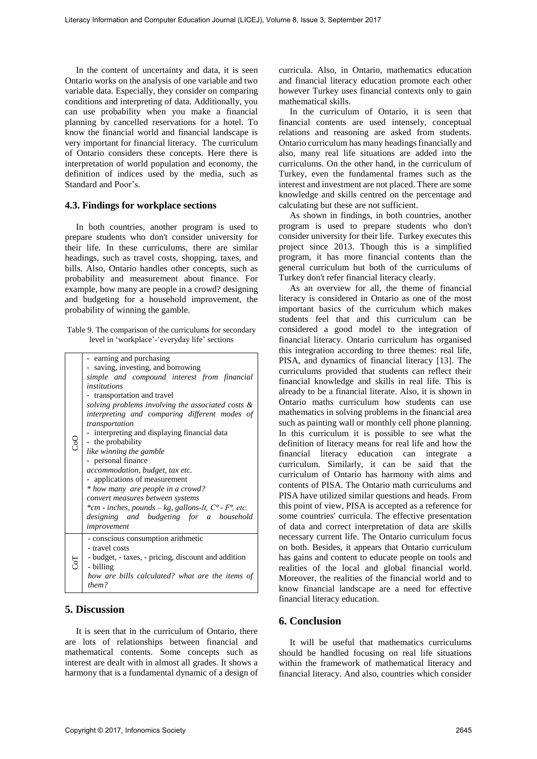In the content of uncertainty and data, it is seen Ontario works on the analysis of one variable and two variable data. Especially, they consider on comparing conditions and interpreting of data. Additionally, you can use probability when you make a financial planning by cancelled reservations for a hotel. To know the financial world and financial landscape is very important for financial literacy. The curriculum of Ontario considers these concepts. Here there is interpretation of world population and economy, the definition of indices used by the media, such as Standard and Poor's.

#### **4.3. Findings for workplace sections**

In both countries, another program is used to prepare students who don't consider university for their life. In these curriculums, there are similar headings, such as travel costs, shopping, taxes, and bills. Also, Ontario handles other concepts, such as probability and measurement about finance. For example, how many are people in a crowd? designing and budgeting for a household improvement, the probability of winning the gamble.

Table 9. The comparison of the curriculums for secondary level in 'workplace'-'everyday life' sections

|                | - earning and purchasing                                    |  |  |
|----------------|-------------------------------------------------------------|--|--|
|                | - saving, investing, and borrowing                          |  |  |
|                | simple and compound interest from financial                 |  |  |
|                | institutions                                                |  |  |
|                | - transportation and travel                                 |  |  |
|                | solving problems involving the associated costs &           |  |  |
|                | interpreting and comparing different modes of               |  |  |
|                | transportation                                              |  |  |
|                | - interpreting and displaying financial data                |  |  |
|                | - the probability                                           |  |  |
|                | like winning the gamble                                     |  |  |
|                | - personal finance                                          |  |  |
|                | accommodation, budget, tax etc.                             |  |  |
|                | - applications of measurement                               |  |  |
|                | * how many are people in a crowd?                           |  |  |
|                | convert measures between systems                            |  |  |
|                | *cm - inches, pounds – kg, gallons-lt, $C^0$ - $F^0$ , etc. |  |  |
|                |                                                             |  |  |
|                | designing and budgeting for a household                     |  |  |
|                | improvement                                                 |  |  |
|                | - conscious consumption arithmetic                          |  |  |
|                | - travel costs                                              |  |  |
|                | - budget, - taxes, - pricing, discount and addition         |  |  |
| $\overline{C}$ | - billing                                                   |  |  |
|                | how are bills calculated? what are the items of             |  |  |
|                | them?                                                       |  |  |
|                |                                                             |  |  |

## **5. Discussion**

It is seen that in the curriculum of Ontario, there are lots of relationships between financial and mathematical contents. Some concepts such as interest are dealt with in almost all grades. It shows a harmony that is a fundamental dynamic of a design of curricula. Also, in Ontario, mathematics education and financial literacy education promote each other however Turkey uses financial contexts only to gain mathematical skills.

In the curriculum of Ontario, it is seen that financial contents are used intensely, conceptual relations and reasoning are asked from students. Ontario curriculum has many headings financially and also, many real life situations are added into the curriculums. On the other hand, in the curriculum of Turkey, even the fundamental frames such as the interest and investment are not placed. There are some knowledge and skills centred on the percentage and calculating but these are not sufficient.

As shown in findings, in both countries, another program is used to prepare students who don't consider university for their life. Turkey executes this project since 2013. Though this is a simplified program, it has more financial contents than the general curriculum but both of the curriculums of Turkey don't refer financial literacy clearly.

As an overview for all, the theme of financial literacy is considered in Ontario as one of the most important basics of the curriculum which makes students feel that and this curriculum can be considered a good model to the integration of financial literacy. Ontario curriculum has organised this integration according to three themes: real life, PISA, and dynamics of financial literacy [13]. The curriculums provided that students can reflect their financial knowledge and skills in real life. This is already to be a financial literate. Also, it is shown in Ontario maths curriculum how students can use mathematics in solving problems in the financial area such as painting wall or monthly cell phone planning. In this curriculum it is possible to see what the definition of literacy means for real life and how the financial literacy education can integrate a curriculum. Similarly, it can be said that the curriculum of Ontario has harmony with aims and contents of PISA. The Ontario math curriculums and PISA have utilized similar questions and heads. From this point of view, PISA is accepted as a reference for some countries' curricula. The effective presentation of data and correct interpretation of data are skills necessary current life. The Ontario curriculum focus on both. Besides, it appears that Ontario curriculum has gains and content to educate people on tools and realities of the local and global financial world. Moreover, the realities of the financial world and to know financial landscape are a need for effective financial literacy education. Literacy tensor is a specific the second of the second of the second of the second of the second of the second of the second of the second of the second of the second of the second of the second of the second of the secon

### **6. Conclusion**

It will be useful that mathematics curriculums should be handled focusing on real life situations within the framework of mathematical literacy and financial literacy. And also, countries which consider